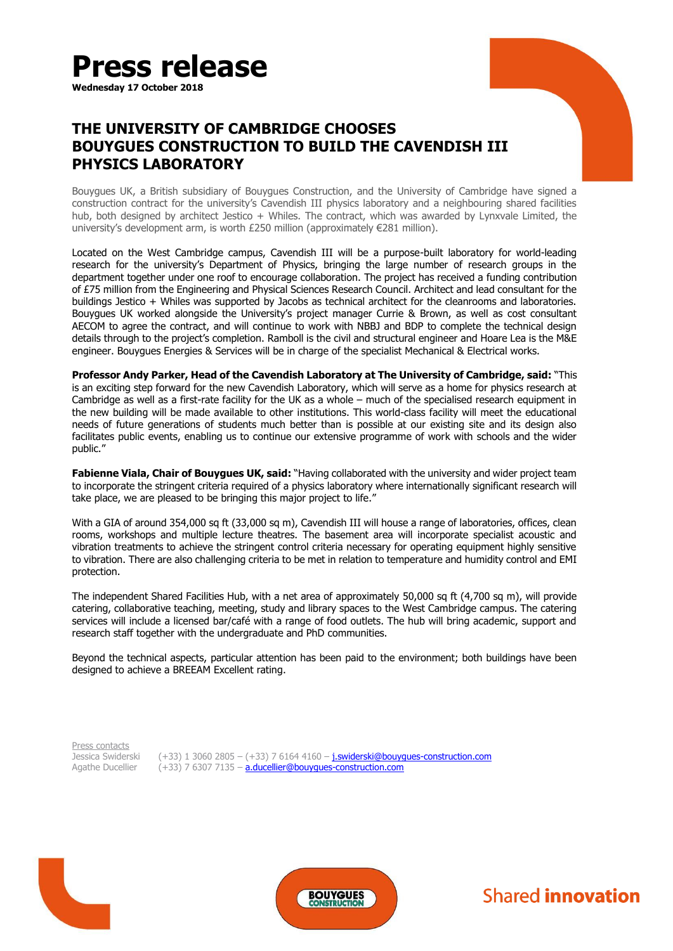

**Wednesday 17 October 2018**

# **THE UNIVERSITY OF CAMBRIDGE CHOOSES BOUYGUES CONSTRUCTION TO BUILD THE CAVENDISH III PHYSICS LABORATORY**

Bouygues UK, a British subsidiary of Bouygues Construction, and the University of Cambridge have signed a construction contract for the university's Cavendish III physics laboratory and a neighbouring shared facilities hub, both designed by architect Jestico + Whiles. The contract, which was awarded by Lynxvale Limited, the university's development arm, is worth £250 million (approximately €281 million).

Located on the West Cambridge campus, Cavendish III will be a purpose-built laboratory for world-leading research for the university's Department of Physics, bringing the large number of research groups in the department together under one roof to encourage collaboration. The project has received a funding contribution of £75 million from the Engineering and Physical Sciences Research Council. Architect and lead consultant for the buildings Jestico + Whiles was supported by Jacobs as technical architect for the cleanrooms and laboratories. Bouygues UK worked alongside the University's project manager Currie & Brown, as well as cost consultant AECOM to agree the contract, and will continue to work with NBBJ and BDP to complete the technical design details through to the project's completion. Ramboll is the civil and structural engineer and Hoare Lea is the M&E engineer. Bouygues Energies & Services will be in charge of the specialist Mechanical & Electrical works.

**Professor Andy Parker, Head of the Cavendish Laboratory at The University of Cambridge, said:** "This is an exciting step forward for the new Cavendish Laboratory, which will serve as a home for physics research at Cambridge as well as a first-rate facility for the UK as a whole – much of the specialised research equipment in the new building will be made available to other institutions. This world-class facility will meet the educational needs of future generations of students much better than is possible at our existing site and its design also facilitates public events, enabling us to continue our extensive programme of work with schools and the wider public."

**Fabienne Viala, Chair of Bouygues UK, said:** "Having collaborated with the university and wider project team to incorporate the stringent criteria required of a physics laboratory where internationally significant research will take place, we are pleased to be bringing this major project to life."

With a GIA of around 354,000 sq ft (33,000 sq m), Cavendish III will house a range of laboratories, offices, clean rooms, workshops and multiple lecture theatres. The basement area will incorporate specialist acoustic and vibration treatments to achieve the stringent control criteria necessary for operating equipment highly sensitive to vibration. There are also challenging criteria to be met in relation to temperature and humidity control and EMI protection.

The independent Shared Facilities Hub, with a net area of approximately 50,000 sq ft (4,700 sq m), will provide catering, collaborative teaching, meeting, study and library spaces to the West Cambridge campus. The catering services will include a licensed bar/café with a range of food outlets. The hub will bring academic, support and research staff together with the undergraduate and PhD communities.

Beyond the technical aspects, particular attention has been paid to the environment; both buildings have been designed to achieve a BREEAM Excellent rating.

Press contacts<br>Jessica Swiderski

(+33) 1 3060 2805 – (+33) 7 6164 4160 – *j.swiderski*@bouygues-construction.com Agathe Ducellier (+33) 7 6307 7135 – [a.ducellier@bouygues-construction.com](mailto:a.ducellier@bouygues-construction.com)





**Shared innovation**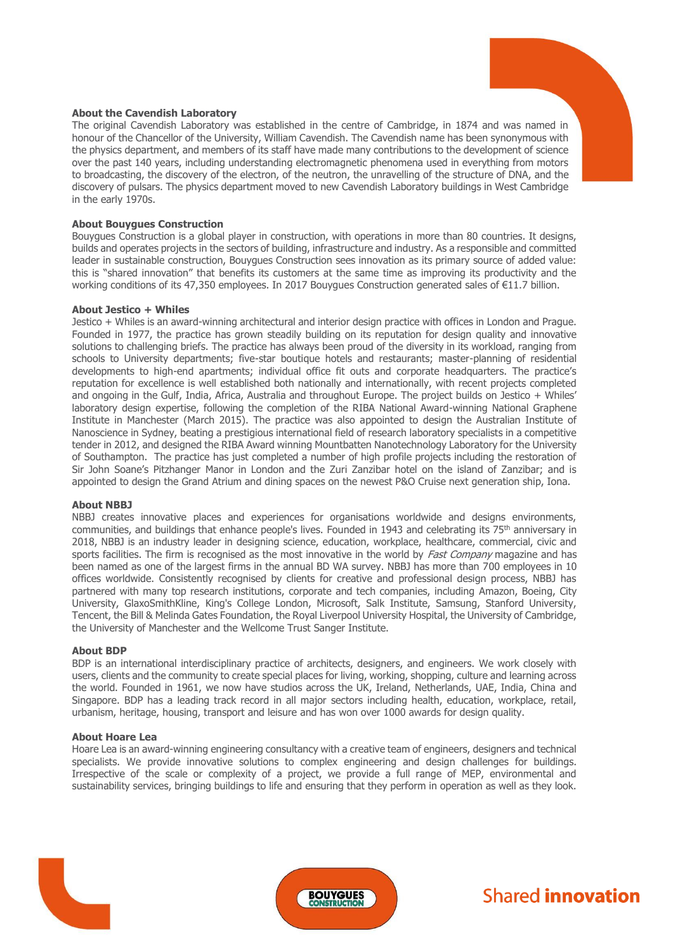# **About the Cavendish Laboratory**

The original Cavendish Laboratory was established in the centre of Cambridge, in 1874 and was named in honour of the Chancellor of the University, William Cavendish. The Cavendish name has been synonymous with the physics department, and members of its staff have made many contributions to the development of science over the past 140 years, including understanding electromagnetic phenomena used in everything from motors to broadcasting, the discovery of the electron, of the neutron, the unravelling of the structure of DNA, and the discovery of pulsars. The physics department moved to new Cavendish Laboratory buildings in West Cambridge in the early 1970s.

# **About Bouygues Construction**

Bouygues Construction is a global player in construction, with operations in more than 80 countries. It designs, builds and operates projects in the sectors of building, infrastructure and industry. As a responsible and committed leader in sustainable construction, Bouygues Construction sees innovation as its primary source of added value: this is "shared innovation" that benefits its customers at the same time as improving its productivity and the working conditions of its 47,350 employees. In 2017 Bouygues Construction generated sales of €11.7 billion.

### **About Jestico + Whiles**

Jestico + Whiles is an award-winning architectural and interior design practice with offices in London and Prague. Founded in 1977, the practice has grown steadily building on its reputation for design quality and innovative solutions to challenging briefs. The practice has always been proud of the diversity in its workload, ranging from schools to University departments; five-star boutique hotels and restaurants; master-planning of residential developments to high-end apartments; individual office fit outs and corporate headquarters. The practice's reputation for excellence is well established both nationally and internationally, with recent projects completed and ongoing in the Gulf, India, Africa, Australia and throughout Europe. The project builds on Jestico + Whiles' laboratory design expertise, following the completion of the RIBA National Award-winning National Graphene Institute in Manchester (March 2015). The practice was also appointed to design the Australian Institute of Nanoscience in Sydney, beating a prestigious international field of research laboratory specialists in a competitive tender in 2012, and designed the RIBA Award winning Mountbatten Nanotechnology Laboratory for the University of Southampton. The practice has just completed a number of high profile projects including the restoration of Sir John Soane's Pitzhanger Manor in London and the Zuri Zanzibar hotel on the island of Zanzibar; and is appointed to design the Grand Atrium and dining spaces on the newest P&O Cruise next generation ship, Iona.

#### **About NBBJ**

NBBJ creates innovative places and experiences for organisations worldwide and designs environments, communities, and buildings that enhance people's lives. Founded in 1943 and celebrating its 75th anniversary in 2018, NBBJ is an industry leader in designing science, education, workplace, healthcare, commercial, civic and sports facilities. The firm is recognised as the most innovative in the world by *Fast Company* magazine and has been named as one of the largest firms in the annual BD WA survey. NBBJ has more than 700 employees in 10 offices worldwide. Consistently recognised by clients for creative and professional design process, NBBJ has partnered with many top research institutions, corporate and tech companies, including Amazon, Boeing, City University, GlaxoSmithKline, King's College London, Microsoft, Salk Institute, Samsung, Stanford University, Tencent, the Bill & Melinda Gates Foundation, the Royal Liverpool University Hospital, the University of Cambridge, the University of Manchester and the Wellcome Trust Sanger Institute.

#### **About BDP**

BDP is an international interdisciplinary practice of architects, designers, and engineers. We work closely with users, clients and the community to create special places for living, working, shopping, culture and learning across the world. Founded in 1961, we now have studios across the UK, Ireland, Netherlands, UAE, India, China and Singapore. BDP has a leading track record in all major sectors including health, education, workplace, retail, urbanism, heritage, housing, transport and leisure and has won over 1000 awards for design quality.

#### **About Hoare Lea**

Hoare Lea is an award-winning engineering consultancy with a creative team of engineers, designers and technical specialists. We provide innovative solutions to complex engineering and design challenges for buildings. Irrespective of the scale or complexity of a project, we provide a full range of MEP, environmental and sustainability services, bringing buildings to life and ensuring that they perform in operation as well as they look.





# **Shared innovation**